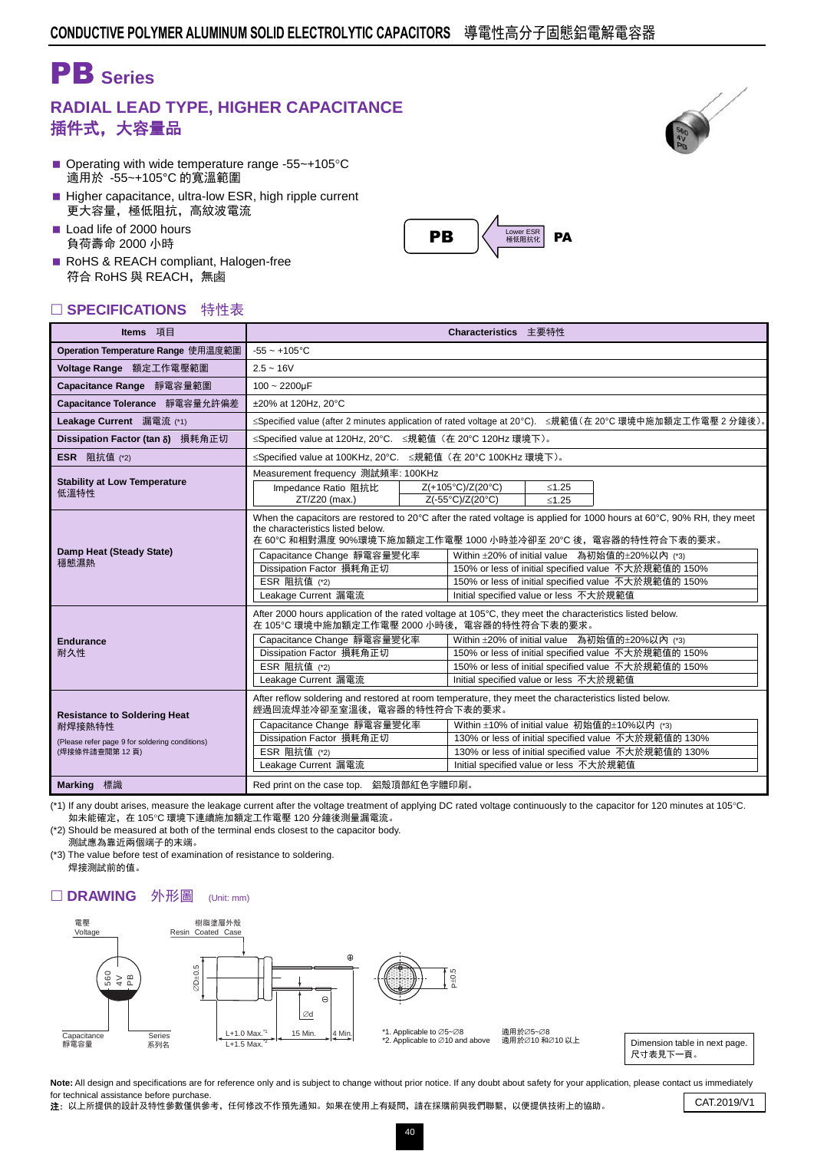## PB **Series**

## **RADIAL LEAD TYPE, HIGHER CAPACITANCE** 插件式,大容量品

- Operating with wide temperature range -55 $\sim$ +105 $\degree$ C 適用於 -55~+105°C 的寬溫範圍
- Higher capacitance, ultra-low ESR, high ripple current 更大容量,極低阻抗,高紋波電流
- Load life of 2000 hours 負荷壽命 2000 小時
- RoHS & REACH compliant, Halogen-free 符合 RoHS 與 REACH,無鹵

### □ SPECIFICATIONS 特性表

| Items 項目                                                                                                         | Characteristics 主要特性                                                                                                                                                                                                                 |                                                             |                                                                                                                                                                                                                                                                                                                                                                                                 |         |                                                                                                                                                              |  |  |  |  |
|------------------------------------------------------------------------------------------------------------------|--------------------------------------------------------------------------------------------------------------------------------------------------------------------------------------------------------------------------------------|-------------------------------------------------------------|-------------------------------------------------------------------------------------------------------------------------------------------------------------------------------------------------------------------------------------------------------------------------------------------------------------------------------------------------------------------------------------------------|---------|--------------------------------------------------------------------------------------------------------------------------------------------------------------|--|--|--|--|
| Operation Temperature Range 使用温度範圍                                                                               | $-55 - +105$ °C                                                                                                                                                                                                                      |                                                             |                                                                                                                                                                                                                                                                                                                                                                                                 |         |                                                                                                                                                              |  |  |  |  |
| Voltage Range 額定工作電壓範圍                                                                                           | $2.5 - 16V$                                                                                                                                                                                                                          |                                                             |                                                                                                                                                                                                                                                                                                                                                                                                 |         |                                                                                                                                                              |  |  |  |  |
| Capacitance Range 靜電容量範圍                                                                                         | $100 - 2200 \mu F$                                                                                                                                                                                                                   |                                                             |                                                                                                                                                                                                                                                                                                                                                                                                 |         |                                                                                                                                                              |  |  |  |  |
| Capacitance Tolerance 靜電容量允許偏差                                                                                   | ±20% at 120Hz, 20°C                                                                                                                                                                                                                  |                                                             |                                                                                                                                                                                                                                                                                                                                                                                                 |         |                                                                                                                                                              |  |  |  |  |
| Leakage Current 漏電流 (*1)                                                                                         | ≤Specified value (after 2 minutes application of rated voltage at 20°C). ≤規範值(在 20°C 環境中施加額定工作電壓 2 分鐘後)。                                                                                                                             |                                                             |                                                                                                                                                                                                                                                                                                                                                                                                 |         |                                                                                                                                                              |  |  |  |  |
| Dissipation Factor (tan $\delta$ ) 損耗角正切                                                                         | ≤Specified value at 120Hz, 20°C. ≤規範值 (在 20°C 120Hz 環境下)。                                                                                                                                                                            |                                                             |                                                                                                                                                                                                                                                                                                                                                                                                 |         |                                                                                                                                                              |  |  |  |  |
| <b>ESR</b> 阻抗值 (*2)                                                                                              |                                                                                                                                                                                                                                      | ≤Specified value at 100KHz, 20°C. ≤規範值 (在 20°C 100KHz 環境下)。 |                                                                                                                                                                                                                                                                                                                                                                                                 |         |                                                                                                                                                              |  |  |  |  |
| <b>Stability at Low Temperature</b>                                                                              | Measurement frequency 測試頻率: 100KHz                                                                                                                                                                                                   |                                                             |                                                                                                                                                                                                                                                                                                                                                                                                 |         |                                                                                                                                                              |  |  |  |  |
| 低溫特性                                                                                                             | Impedance Ratio 阻抗比                                                                                                                                                                                                                  |                                                             | Z(+105°C)/Z(20°C)                                                                                                                                                                                                                                                                                                                                                                               | $≤1.25$ |                                                                                                                                                              |  |  |  |  |
|                                                                                                                  | ZT/Z20 (max.)                                                                                                                                                                                                                        |                                                             | Z(-55°C)/Z(20°C)                                                                                                                                                                                                                                                                                                                                                                                | $≤1.25$ |                                                                                                                                                              |  |  |  |  |
| Damp Heat (Steady State)<br>穩態濕熱                                                                                 | the characteristics listed below.<br>Capacitance Change 靜電容量變化率<br>Dissipation Factor 損耗角正切<br>ESR 阻抗值 (*2)<br>Leakage Current 漏電流                                                                                                   |                                                             | When the capacitors are restored to 20°C after the rated voltage is applied for 1000 hours at 60°C, 90% RH, they meet<br>在 60℃ 和相對濕度 90%環境下施加額定工作電壓 1000 小時並冷卻至 20℃ 後,電容器的特性符合下表的要求。<br>Within ±20% of initial value 為初始值的±20%以內 (*3)<br>150% or less of initial specified value 不大於規範值的 150%<br>150% or less of initial specified value 不大於規範值的 150%<br>Initial specified value or less 不大於規範值 |         |                                                                                                                                                              |  |  |  |  |
| <b>Endurance</b><br>耐久性                                                                                          | 在 105°C 環境中施加額定工作電壓 2000 小時後,電容器的特性符合下表的要求。<br>Capacitance Change 靜電容量變化率<br>Dissipation Factor 損耗角正切<br>ESR 阻抗值 (*2)<br>Leakage Current 漏電流                                                                                         |                                                             | After 2000 hours application of the rated voltage at 105°C, they meet the characteristics listed below.<br>Within ±20% of initial value 為初始值的±20%以內 (*3)<br>150% or less of initial specified value 不大於規範值的 150%<br>150% or less of initial specified value 不大於規範值的 150%<br>Initial specified value or less 不大於規範值                                                                              |         |                                                                                                                                                              |  |  |  |  |
| <b>Resistance to Soldering Heat</b><br>耐焊接熱特性<br>(Please refer page 9 for soldering conditions)<br>(焊接條件請查閱第12頁) | After reflow soldering and restored at room temperature, they meet the characteristics listed below.<br>經過回流焊並冷卻至室溫後,電容器的特性符合下表的要求。<br>Capacitance Change 靜電容量變化率<br>Dissipation Factor 損耗角正切<br>ESR 阻抗值 (*2)<br>Leakage Current 漏電流 |                                                             | Initial specified value or less 不大於規範值                                                                                                                                                                                                                                                                                                                                                          |         | Within ±10% of initial value 初始值的±10%以内 (*3)<br>130% or less of initial specified value 不大於規範值的 130%<br>130% or less of initial specified value 不大於規範值的 130% |  |  |  |  |
| <b>Marking</b> 標識                                                                                                | Red print on the case top. 鋁殼頂部紅色字體印刷。                                                                                                                                                                                               |                                                             |                                                                                                                                                                                                                                                                                                                                                                                                 |         |                                                                                                                                                              |  |  |  |  |

(\*1) If any doubt arises, measure the leakage current after the voltage treatment of applying DC rated voltage continuously to the capacitor for 120 minutes at 105°C. 如未能確定,在 105℃ 環境下連續施加額定工作電壓 120 分鐘後測量漏電流。

(\*2) Should be measured at both of the terminal ends closest to the capacitor body. 測試應為靠近兩個端子的末端。

(\*3) The value before test of examination of resistance to soldering. 焊接測試前的值。

#### □ DRAWING 外形圖 (Unit: mm)



適用於∅5~Ø8 過用於⊘5~©0<br>適用於⊘10 和∅10 以上

Dimension table in next page. 尺寸表見下一頁。

Note: All design and specifications are for reference only and is subject to change without prior notice. If any doubt about safety for your application, please contact us immediately for technical assistance before purchase. Tor technical assistance before purchase.<br>2: 以上所提供的設計及特性參數僅供參考,任何修改不作預先通知。如果在使用上有疑問,請在採購前與我們聯繫,以便提供技術上的協助。 CAT.2019/V1

40



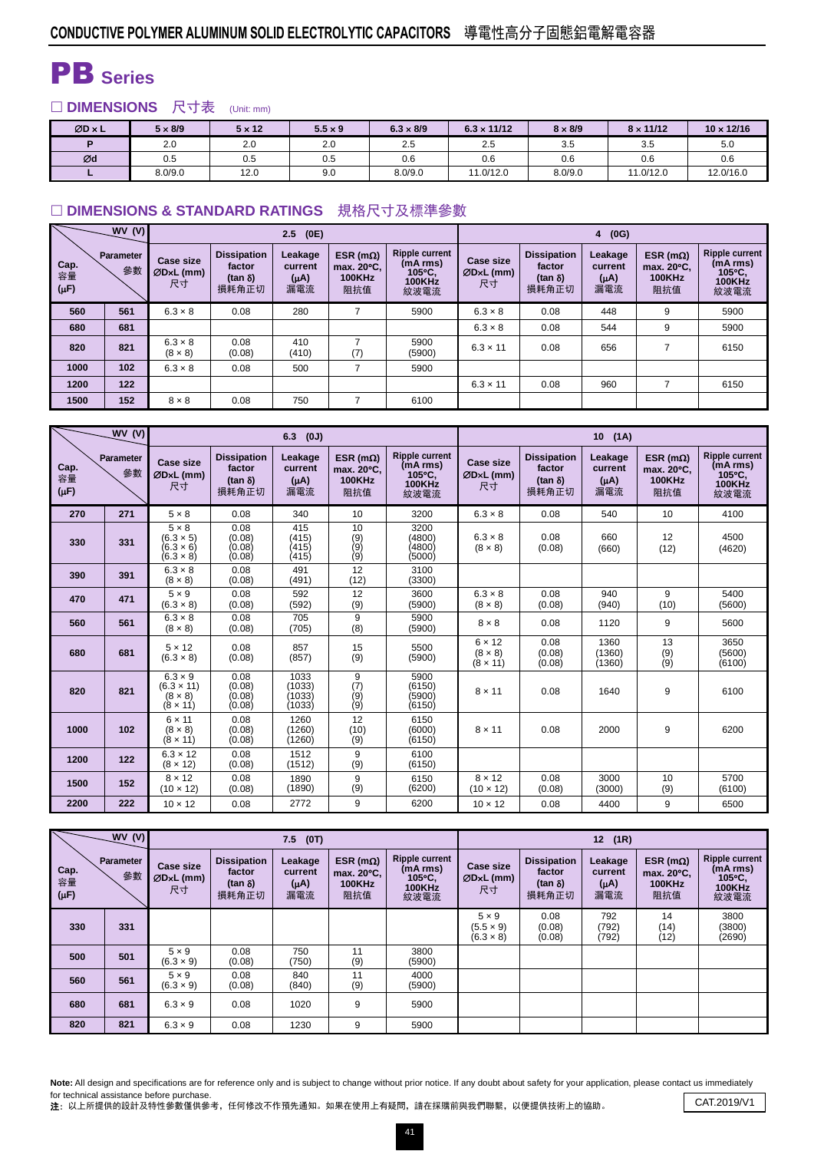# PB **Series**

### □ DIMENSIONS 尺寸表 (Unit: mm)

| $ØD \times L$ | $5 \times 8/9$ | $5 \times 12$ | $5.5 \times 9$ | $6.3 \times 8/9$ | $6.3 \times 11/12$ | $8 \times 8/9$ | $8 \times 11/12$ | $10 \times 12/16$ |
|---------------|----------------|---------------|----------------|------------------|--------------------|----------------|------------------|-------------------|
|               | 2.0            | 2.0           | 2.0            | 2.5              | 2.5                | 3.5            | 3.5              | 5.0               |
| Ød            | 0.5            | 0.5           | 0.5            | 0.6              | 0.6                | 0.6            | 0.6              | 0.6               |
|               | 8.0/9.0        | 12.0          | 9.0            | 8.0/9.0          | 11.0/12.0          | 8.0/9.0        | 11.0/12.0        | 12.0/16.0         |

#### **DIMENSIONS & STANDARD RATINGS** 規格尺寸及標準參數

|                         | WV(V)                  |                                       |                                                          | (0E)<br>2.5                           |                                                         |                                                               | (0G)<br>$\overline{4}$                |                                                         |                                        |                                                  |                                                                      |  |  |
|-------------------------|------------------------|---------------------------------------|----------------------------------------------------------|---------------------------------------|---------------------------------------------------------|---------------------------------------------------------------|---------------------------------------|---------------------------------------------------------|----------------------------------------|--------------------------------------------------|----------------------------------------------------------------------|--|--|
| Cap.<br>容量<br>$(\mu F)$ | <b>Parameter</b><br>參數 | <b>Case size</b><br>$ØDxL$ (mm)<br>尺寸 | <b>Dissipation</b><br>factor<br>$(\tan \delta)$<br>損耗角正切 | Leakage<br>current<br>$(A\mu)$<br>漏電流 | ESR ( $m\Omega$ )<br>max. 20°C.<br><b>100KHz</b><br>阻抗值 | <b>Ripple current</b><br>(mA rms)<br>105°C.<br>100KHz<br>紋波電流 | <b>Case size</b><br>$ØDxL$ (mm)<br>尺寸 | <b>Dissipation</b><br>factor<br>$(tan \delta)$<br>損耗角正切 | Leakage<br>current<br>$(\mu A)$<br>漏電流 | ESR ( $m\Omega$ )<br>max. 20°C.<br>100KHz<br>阻抗值 | <b>Ripple current</b><br>(mA rms)<br>105°C.<br><b>100KHz</b><br>紋波電流 |  |  |
| 560                     | 561                    | $6.3 \times 8$                        | 0.08                                                     | 280                                   | 7                                                       | 5900                                                          | $6.3 \times 8$                        | 0.08                                                    | 448                                    | 9                                                | 5900                                                                 |  |  |
| 680                     | 681                    |                                       |                                                          |                                       |                                                         |                                                               | $6.3 \times 8$                        | 0.08                                                    | 544                                    | 9                                                | 5900                                                                 |  |  |
| 820                     | 821                    | $6.3 \times 8$<br>$(8 \times 8)$      | 0.08<br>(0.08)                                           | 410<br>(410)                          | (7)                                                     | 5900<br>(5900)                                                | $6.3 \times 11$                       | 0.08                                                    | 656                                    | 7                                                | 6150                                                                 |  |  |
| 1000                    | 102                    | $6.3 \times 8$                        | 0.08                                                     | 500                                   |                                                         | 5900                                                          |                                       |                                                         |                                        |                                                  |                                                                      |  |  |
| 1200                    | 122                    |                                       |                                                          |                                       |                                                         |                                                               | $6.3 \times 11$                       | 0.08                                                    | 960                                    | ⇁                                                | 6150                                                                 |  |  |
| 1500                    | 152                    | $8 \times 8$                          | 0.08                                                     | 750                                   |                                                         | 6100                                                          |                                       |                                                         |                                        |                                                  |                                                                      |  |  |

|                         | WV(V)           |                                                                          |                                                          | 6.3<br>(0J)                            |                                                         |                                                                      | 10(1A)                                             |                                                          |                                        |                                                         |                                                                      |  |
|-------------------------|-----------------|--------------------------------------------------------------------------|----------------------------------------------------------|----------------------------------------|---------------------------------------------------------|----------------------------------------------------------------------|----------------------------------------------------|----------------------------------------------------------|----------------------------------------|---------------------------------------------------------|----------------------------------------------------------------------|--|
| Cap.<br>容量<br>$(\mu F)$ | Parameter<br>參數 | <b>Case size</b><br>ØD×L (mm)<br>尺寸                                      | <b>Dissipation</b><br>factor<br>$(\tan \delta)$<br>損耗角正切 | Leakage<br>current<br>$(\mu A)$<br>漏電流 | ESR ( $m\Omega$ )<br>max. 20°C.<br><b>100KHz</b><br>阻抗值 | <b>Ripple current</b><br>(mA rms)<br>105°C.<br><b>100KHz</b><br>紋波電流 | <b>Case size</b><br>$ØDxL$ (mm)<br>尺寸              | <b>Dissipation</b><br>factor<br>$(\tan \delta)$<br>損耗角正切 | Leakage<br>current<br>$(\mu A)$<br>漏電流 | ESR ( $m\Omega$ )<br>max. 20°C.<br><b>100KHz</b><br>阻抗值 | <b>Ripple current</b><br>(mA rms)<br>105°C.<br><b>100KHz</b><br>紋波電流 |  |
| 270                     | 271             | $5 \times 8$                                                             | 0.08                                                     | 340                                    | 10                                                      | 3200                                                                 | $6.3 \times 8$                                     | 0.08                                                     | 540                                    | 10                                                      | 4100                                                                 |  |
| 330                     | 331             | $5 \times 8$<br>$(6.3 \times 5)$<br>(6.3 × 6)<br>$(6.3 \times 8)$        | 0.08<br>(0.08)<br>(0.08)<br>(0.08)                       | 415<br>(415)<br>(415)<br>(415)         | 10<br>$\binom{9}{9}$<br>$\zeta(9)$                      | 3200<br>(4800)<br>4800)<br>(5000)                                    | $6.3 \times 8$<br>$(8 \times 8)$                   | 0.08<br>(0.08)                                           | 660<br>(660)                           | 12<br>(12)                                              | 4500<br>(4620)                                                       |  |
| 390                     | 391             | $6.3 \times 8$<br>$(8 \times 8)$                                         | 0.08<br>(0.08)                                           | 491<br>(491)                           | 12<br>(12)                                              | 3100<br>(3300)                                                       |                                                    |                                                          |                                        |                                                         |                                                                      |  |
| 470                     | 471             | $5 \times 9$<br>$(6.3 \times 8)$                                         | 0.08<br>(0.08)                                           | 592<br>(592)                           | 12<br>(9)                                               | 3600<br>(5900)                                                       | $6.3 \times 8$<br>$(8 \times 8)$                   | 0.08<br>(0.08)                                           | 940<br>(940)                           | 9<br>(10)                                               | 5400<br>(5600)                                                       |  |
| 560                     | 561             | $6.3 \times 8$<br>$(8 \times 8)$                                         | 0.08<br>(0.08)                                           | 705<br>(705)                           | 9<br>(8)                                                | 5900<br>(5900)                                                       | $8 \times 8$                                       | 0.08                                                     | 1120                                   | 9                                                       | 5600                                                                 |  |
| 680                     | 681             | $5 \times 12$<br>$(6.3 \times 8)$                                        | 0.08<br>(0.08)                                           | 857<br>(857)                           | 15<br>(9)                                               | 5500<br>(5900)                                                       | $6 \times 12$<br>$(8 \times 8)$<br>$(8 \times 11)$ | 0.08<br>(0.08)<br>(0.08)                                 | 1360<br>(1360)<br>(1360)               | 13<br>(9)<br>(9)                                        | 3650<br>(5600)<br>(6100)                                             |  |
| 820                     | 821             | $6.3 \times 9$<br>$(6.3 \times 11)$<br>$(8 \times 8)$<br>$(8 \times 11)$ | 0.08<br>(0.08)<br>(0.08)<br>(0.08)                       | 1033<br>(1033)<br>(1033)<br>(1033)     | 9<br>(7)<br>(9)<br>(9)                                  | 5900<br>(6150)<br>(5900)<br>(6150)                                   | $8 \times 11$                                      | 0.08                                                     | 1640                                   | 9                                                       | 6100                                                                 |  |
| 1000                    | 102             | $6 \times 11$<br>$(8 \times 8)$<br>$(8 \times 11)$                       | 0.08<br>(0.08)<br>(0.08)                                 | 1260<br>(1260)<br>(1260)               | 12<br>(10)<br>(9)                                       | 6150<br>(6000)<br>(6150)                                             | $8 \times 11$                                      | 0.08                                                     | 2000                                   | 9                                                       | 6200                                                                 |  |
| 1200                    | 122             | $6.3 \times 12$<br>$(8 \times 12)$                                       | 0.08<br>(0.08)                                           | 1512<br>(1512)                         | 9<br>(9)                                                | 6100<br>(6150)                                                       |                                                    |                                                          |                                        |                                                         |                                                                      |  |
| 1500                    | 152             | $8 \times 12$<br>$(10 \times 12)$                                        | 0.08<br>(0.08)                                           | 1890<br>(1890)                         | 9<br>(9)                                                | 6150<br>(6200)                                                       | $8 \times 12$<br>$(10 \times 12)$                  | 0.08<br>(0.08)                                           | 3000<br>(3000)                         | 10<br>(9)                                               | 5700<br>(6100)                                                       |  |
| 2200                    | 222             | $10 \times 12$                                                           | 0.08                                                     | 2772                                   | 9                                                       | 6200                                                                 | $10 \times 12$                                     | 0.08                                                     | 4400                                   | 9                                                       | 6500                                                                 |  |

|                         | WV(V)                  |                                       |                                                         | (0T)<br>7.5                            |                                                         |                                                                      | (1R)<br>12 <sup>2</sup>                              |                                                          |                                        |                                                         |                                                                      |  |
|-------------------------|------------------------|---------------------------------------|---------------------------------------------------------|----------------------------------------|---------------------------------------------------------|----------------------------------------------------------------------|------------------------------------------------------|----------------------------------------------------------|----------------------------------------|---------------------------------------------------------|----------------------------------------------------------------------|--|
| Cap.<br>容量<br>$(\mu F)$ | <b>Parameter</b><br>參數 | <b>Case size</b><br>$ØDxL$ (mm)<br>尺寸 | <b>Dissipation</b><br>factor<br>$(tan \delta)$<br>損耗角正切 | Leakage<br>current<br>$(\mu A)$<br>漏電流 | ESR (m $\Omega$ )<br>max. 20°C.<br><b>100KHz</b><br>阻抗值 | <b>Ripple current</b><br>(mA rms)<br>105°C.<br><b>100KHz</b><br>紋波電流 | Case size<br>$ØDxL$ (mm)<br>尺寸                       | <b>Dissipation</b><br>factor<br>$(\tan \delta)$<br>損耗角正切 | Leakage<br>current<br>$(\mu A)$<br>漏電流 | ESR ( $m\Omega$ )<br>max. 20°C.<br><b>100KHz</b><br>阻抗值 | <b>Ripple current</b><br>(mA rms)<br>105°C.<br><b>100KHz</b><br>紋波電流 |  |
| 330                     | 331                    |                                       |                                                         |                                        |                                                         |                                                                      | $5 \times 9$<br>$(5.5 \times 9)$<br>$(6.3 \times 8)$ | 0.08<br>(0.08)<br>(0.08)                                 | 792<br>(792)<br>(792)                  | 14<br>(14)<br>(12)                                      | 3800<br>(3800)<br>(2690)                                             |  |
| 500                     | 501                    | $5 \times 9$<br>$(6.3 \times 9)$      | 0.08<br>(0.08)                                          | 750<br>(750)                           | 11<br>(9)                                               | 3800<br>(5900)                                                       |                                                      |                                                          |                                        |                                                         |                                                                      |  |
| 560                     | 561                    | $5 \times 9$<br>$(6.3 \times 9)$      | 0.08<br>(0.08)                                          | 840<br>(840)                           | 11<br>(9)                                               | 4000<br>(5900)                                                       |                                                      |                                                          |                                        |                                                         |                                                                      |  |
| 680                     | 681                    | $6.3 \times 9$                        | 0.08                                                    | 1020                                   | 9                                                       | 5900                                                                 |                                                      |                                                          |                                        |                                                         |                                                                      |  |
| 820                     | 821                    | $6.3 \times 9$                        | 0.08                                                    | 1230                                   | 9                                                       | 5900                                                                 |                                                      |                                                          |                                        |                                                         |                                                                      |  |

Note: All design and specifications are for reference only and is subject to change without prior notice. If any doubt about safety for your application, please contact us immediately for technical assistance before purchase.

for technical assistance before purchase.<br>2: 以上所提供的設計及特性參數僅供參考,任何修改不作預先通知。如果在使用上有疑問,請在採購前與我們聯繫,以便提供技術上的協助。 CAT.2019/V1